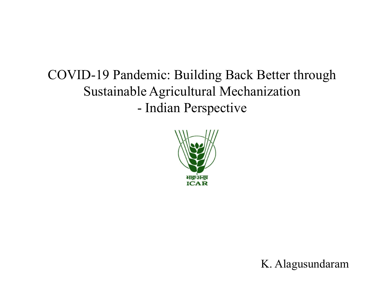# COVID-19 Pandemic: Building Back Better through Sustainable Agricultural Mechanization demic: Building Back Better thro<br>le Agricultural Mechanization<br>- Indian Perspective



K. Alagusundaram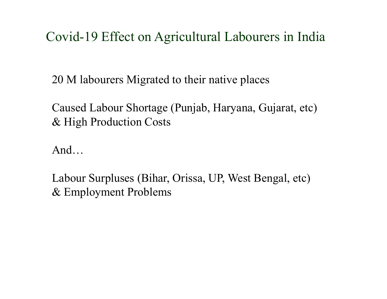#### Covid-19 Effect on Agricultural Labourers in India

20 M labourers Migrated to their native places

Caused Labour Shortage (Punjab, Haryana, Gujarat, etc) & High Production Costs

And…

Labour Surpluses (Bihar, Orissa, UP, West Bengal, etc) & Employment Problems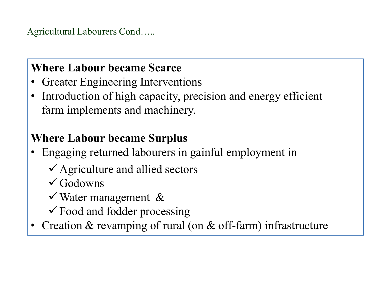Agricultural Labourers Cond…..

#### Where Labour became Scarce

- Greater Engineering Interventions
- Introduction of high capacity, precision and energy efficient farm implements and machinery. Varian Labourers Cond.....<br>
• Greater Engineering Interventions<br>
• Introduction of high capacity, precision and energy efficient<br>
farm implements and machinery.<br>
• Where Labour became Surplus<br>
• Engaging returned labourer **EXECT EXECT EXECTS CONCRETE:**<br>
Freater Engineering Interventions<br>
Introduction of high capacity, precision and energy efficient<br>
Irm implements and machinery.<br> **EXECT EXECT EXECTS**<br>
Intervention of allied sectors<br>
Vertic Freater Engineering Interventions<br>troduction of high capacity, precision and energy efficien<br>arm implements and machinery.<br>**ere Labour became Surplus**<br>ngaging returned labourers in gainful employment in<br> $\checkmark$  Agriculture According of high capacity, precision and energy effirm<br>
in implements and machinery.<br> **ere Labour became Surplus**<br>
ingaging returned labourers in gainful employment in<br>  $\checkmark$  Agriculture and allied sectors<br>  $\checkmark$  Godowns

#### Where Labour became Surplus

- -
	- $\checkmark$  Godowns
	-
	-
- Creation & revamping of rural (on & off-farm) infrastructure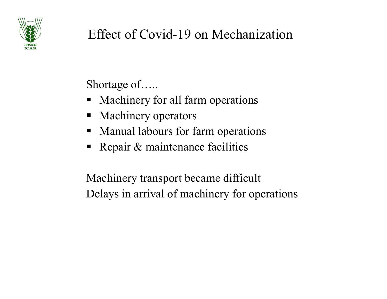

## Effect of Covid-19 on Mechanization Effect of Covid-19 on Mechanization<br>Shortage of.....<br>• Machinery for all farm operations<br>• Machinery operators Effect of Covid-19 on Mechanization<br>
Shortage of.....<br>
• Machinery for all farm operations<br>
• Manual labours for farm operations Effect of Covid-19 on Mechanization<br>
Shortage of.....<br>
• Machinery for all farm operations<br>
• Manual labours for farm operations<br>
• Repair & maintenance facilities Effect of Covid-19 on Mechanization<br>
Shortage of.....<br>
• Machinery for all farm operations<br>
• Machinery operators<br>
• Manual labours for farm operations<br>
• Repair & maintenance facilities Effect of Covid-19 on Mechanization<br>
Shortage of.....<br>
• Machinery for all farm operations<br>
• Manual labours for farm operations<br>
• Repair & maintenance facilities<br>
Machinery transport became difficult

- 
- 
- 
- 

Shortage of.....<br>
• Machinery for all farm operations<br>
• Manual labours for farm operations<br>
• Repair & maintenance facilities<br>
Machinery transport became difficult<br>
Delays in arrival of machinery for operations Shortage of.....<br>
• Machinery for all farm operations<br>
• Manual labours for farm operations<br>
• Repair & maintenance facilities<br>
Machinery transport became difficult<br>
Delays in arrival of machinery for operations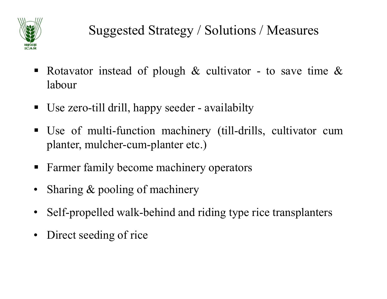

- Suggested Strategy / Solutions / Measures<br>
Rotavator instead of plough & cultivator to save time &<br>
Rotavator instead of plough & cultivator to save time & labour Suggested Strategy / Solutions / Measures<br>
• Rotavator instead of plough & cultivator - to save time &<br>
• Use zero-till drill, happy seeder - availabilty<br>
• Use of multi-function machinery (till-drills, cultivator cum
- 
- Suggested Strategy / Solutions / Measures<br>
 Rotavator instead of plough & cultivator to save time &<br>
Iabour<br>
 Use zero-till drill, happy seeder availabilty<br>
 Use of multi-function machinery (till-drills, cultivator Suggested Strategy / Solutions / Measures<br>Rotavator instead of plough & cultivator - to save time &<br>labour<br>Use zero-till drill, happy seeder - availabilty<br>Use of multi-function machinery (till-drills, cultivator cum<br>plante Farmer family become machinery cultivator - to save time &<br>
Farmer family become machinery operators<br>
Farmer family become machinery (till-drills, cultivator cum<br>
planter, mulcher-cum-planter etc.)<br>
Farmer family become ma • Rotavator instead of plough & cultivator - to save that<br>
• Use zero-till drill, happy seeder - availabilty<br>
• Use of multi-function machinery (till-drills, cultivate<br>
planter, mulcher-cum-planter etc.)<br>
• Farmer family b • Use zero-till drill, happy seeder - availabilty<br>
• Use of multi-function machinery (till-drills, cultivator cum<br>
planter, mulcher-cum-planter etc.)<br>
• Farmer family become machinery operators<br>
• Sharing & pooling of mach • Use of multi-function machinery (till-drills, cult<br>planter, mulcher-cum-planter etc.)<br>• Farmer family become machinery operators<br>• Sharing & pooling of machinery<br>• Self-propelled walk-behind and riding type rice tran<br>• D
- 
- 
- 
-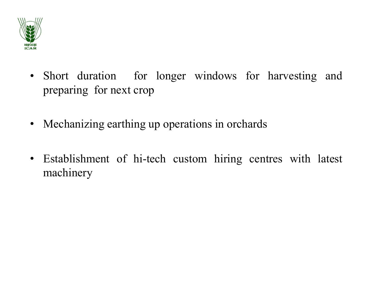

- Short duration for longer windows for harvesting and preparing for next crop Short duration for longer windows for harve<br>preparing for next crop<br>Mechanizing earthing up operations in orchards • Short duration for longer windows for harvesting and<br>preparing for next crop<br>• Mechanizing earthing up operations in orchards<br>• Establishment of history express with later • Short duration for longer windows for harvesting and preparing for next crop<br>• Mechanizing earthing up operations in orchards<br>• Establishment of hi-tech custom hiring centres with latest machinery
- 
- machinery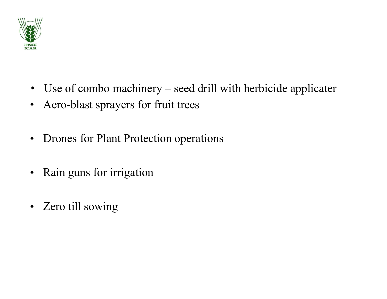

- Use of combo machinery seed drill with herbicide applicater<br>• Aero-blast sprayers for fruit trees • Use of combo machinery – seed drill with herbicide applicater<br>• Aero-blast sprayers for fruit trees<br>• Drones for Plant Protection operations • Use of combo machinery – seed drill with herbicide applicater<br>• Aero-blast sprayers for fruit trees<br>• Drones for Plant Protection operations<br>• Rain guns for irrigation • Use of combo machinery – seed drill with herbic<br>• Aero-blast sprayers for fruit trees<br>• Drones for Plant Protection operations<br>• Rain guns for irrigation<br>• Zero till sowing • Use of combo machinery – seed drill with<br>• Aero-blast sprayers for fruit trees<br>• Drones for Plant Protection operations<br>• Rain guns for irrigation<br>• Zero till sowing
- 
- 
- 
-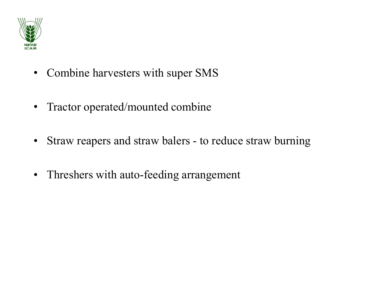

- Combine harvesters with super SMS<br>• Tractor operated/mounted combine • Combine harvesters with super SMS<br>• Tractor operated/mounted combine<br>• Straw reapers and straw balers - to reduce straw burning
- 
- Combine harvesters with super SMS<br>• Tractor operated/mounted combine<br>• Straw reapers and straw balers to reduce straw burning<br>• Threshers with auto-feeding arrangement • Combine harvesters with super SMS<br>• Tractor operated/mounted combine<br>• Straw reapers and straw balers - to reduce straw burning<br>• Threshers with auto-feeding arrangement
-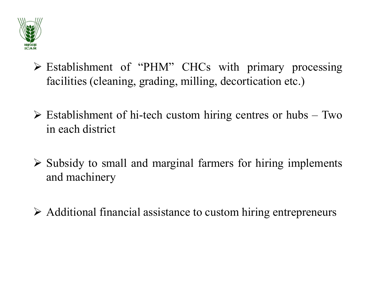

- Establishment of "PHM" CHCs with primary processing<br>
Facilities (cleaning, grading, milling, decortication etc.) Establishment of "PHM" CHCs with primary processing<br>facilities (cleaning, grading, milling, decortication etc.)<br>Establishment of histech custom hiring centres or hubs – Two Establishment of "PHM" CHCs with primary processing<br>
facilities (cleaning, grading, milling, decortication etc.)<br>
Establishment of hi-tech custom hiring centres or hubs – Two<br>
in each district Establishment of "PHM" CHCs with<br>facilities (cleaning, grading, milling, deco<br>Establishment of hi-tech custom hiring co<br>in each district<br>Subsidy to small and marginal farmers for
- 
- Subsidy to small and marginal farmers for hiring implements<br>  $\triangleright$  Establishment of hi-tech custom hiring centres or hubs Two<br>
in each district<br>  $\triangleright$  Subsidy to small and marginal farmers for hiring implements<br>
and m Establishment of "PHM" CHCs w<br>facilities (cleaning, grading, milling, d<br>Establishment of hi-tech custom hirin<br>in each district<br>Subsidy to small and marginal farmer<br>and machinery Establishment of hi-tech custom hiring centres or hubs – Two<br>in each district<br> $\triangleright$  Subsidy to small and marginal farmers for hiring implements<br>and machinery<br> $\triangleright$  Additional financial assistance to custom hiring entrep
-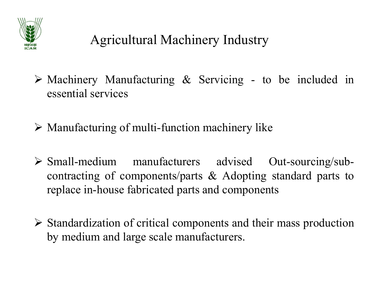

- Agricultural Machinery Industry<br>
> Machinery Manufacturing & Servicing to be included in<br>
essential services Agricultural Machinery Indus<br>Machinery Manufacturing & Servicing<br>essential services<br>Manufacturing of multi-function machinery Agricultural Machinery Industry<br>  $\triangleright$  Machinery Manufacturing & Servicing - to be included in<br>  $\triangleright$  Manufacturing of multi-function machinery like<br>  $\triangleright$  Small medium manufacturers advised Out-sourcing/sub-
- 
- Agricultural Machinery Industry<br>
> Machinery Manufacturing & Servicing to be included in<br>
essential services<br>
> Manufacturing of multi-function machinery like<br>
> Small-medium manufacturers advised Out-sourcing/sub-<br>
con Machinery Manufacturing & Servicing - to be included in<br>essential services<br>Manufacturing of multi-function machinery like<br>Small-medium manufacturers advised Out-sourcing/sub-<br>contracting of components/parts & Adopting stan Machinery Manufacturing & Servicing - to be included in<br>essential services<br>Manufacturing of multi-function machinery like<br>Small-medium manufacturers advised Out-sourcing/sub-<br>contracting of components/parts & Adopting stan Standardization of critical components and their mass production<br>by manufactures and their standard parts to<br>replace in-house fabricated parts and components<br> $\geq$  Standardization of critical components and their mass pro Manufacturing of multi-function machinery like<br>
Small-medium manufacturers advised Out-sourcing/<br>
contracting of components/parts & Adopting standard part<br>
replace in-house fabricated parts and components<br>
Standardization
-